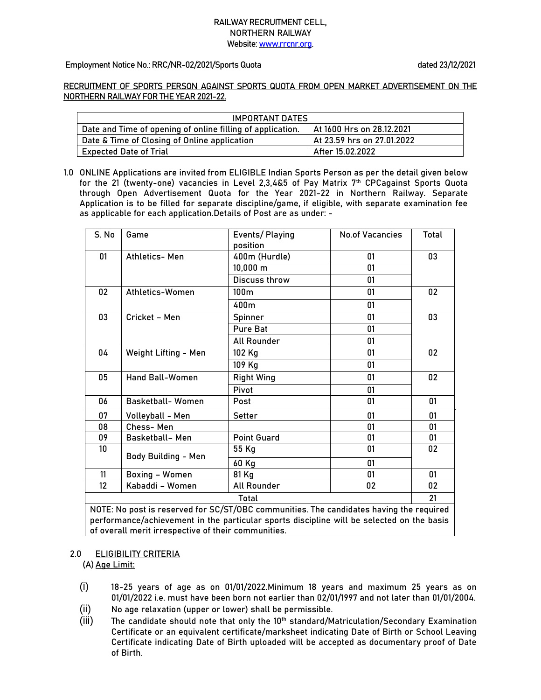## **RAILWAY RECRUITMENT CELL, NORTHERN RAILWAY Website[: www.rrcnr.org.](http://www.rrcnr.org/)**

## **Employment Notice No.: RRC/NR-02/2021/Sports Quota dated 23/12/2021**

**RECRUITMENT OF SPORTS PERSON AGAINST SPORTS QUOTA FROM OPEN MARKET ADVERTISEMENT ON THE NORTHERN RAILWAY FOR THE YEAR 2021-22.**

| IMPORTANT DATES                                            |                            |  |  |  |
|------------------------------------------------------------|----------------------------|--|--|--|
| Date and Time of opening of online filling of application. | At 1600 Hrs on 28.12.2021  |  |  |  |
| Date & Time of Closing of Online application               | At 23.59 hrs on 27.01.2022 |  |  |  |
| <b>Expected Date of Trial</b>                              | After 15.02.2022           |  |  |  |

**1.0 ONLINE Applications** are invited from ELIGIBLE Indian Sports Person as per the detail given below for the **21 (twenty-one) vacancies** in Level 2,3,4&5 of Pay Matrix 7th CPCagainst Sports Quota through Open Advertisement Quota for the Year 2021-22 in Northern Railway. **Separate Application is to be filled for separate discipline/game, if eligible, with separate examination fee as applicable for each application.Details of Post are as under: -**

| S. No                                                                                                           | Game                                                                                    | Events/Playing<br>position | <b>No.of Vacancies</b> | Total |  |  |
|-----------------------------------------------------------------------------------------------------------------|-----------------------------------------------------------------------------------------|----------------------------|------------------------|-------|--|--|
| 01                                                                                                              | Athletics- Men                                                                          | 400m (Hurdle)              | 01                     | 03    |  |  |
|                                                                                                                 |                                                                                         | 10,000 m                   | 01                     |       |  |  |
|                                                                                                                 |                                                                                         | Discuss throw              | 01                     |       |  |  |
| 02                                                                                                              | Athletics-Women                                                                         | 100 <sub>m</sub>           | 01                     | 02    |  |  |
|                                                                                                                 |                                                                                         | 400m                       | 01                     |       |  |  |
| 03                                                                                                              | Cricket - Men                                                                           | Spinner                    | 01                     | 03    |  |  |
|                                                                                                                 |                                                                                         | <b>Pure Bat</b>            | 01                     |       |  |  |
|                                                                                                                 |                                                                                         | <b>All Rounder</b>         | 01                     |       |  |  |
| 04                                                                                                              | Weight Lifting - Men                                                                    | 102 Kg                     | 01                     | 02    |  |  |
|                                                                                                                 |                                                                                         | 109 Kg                     | 01                     |       |  |  |
| 05                                                                                                              | Hand Ball-Women                                                                         | <b>Right Wing</b>          | 01                     | 02    |  |  |
|                                                                                                                 |                                                                                         | Pivot                      | 01                     |       |  |  |
| 06                                                                                                              | <b>Basketball-Women</b>                                                                 | Post                       | 01                     | 01    |  |  |
| 07                                                                                                              | Volleyball - Men                                                                        | Setter                     | 01                     | 01    |  |  |
| 08                                                                                                              | Chess-Men                                                                               |                            | 01                     | 01    |  |  |
| 09                                                                                                              | <b>Basketball-Men</b>                                                                   | <b>Point Guard</b>         | 01                     | 01    |  |  |
| 10 <sup>°</sup>                                                                                                 | <b>Body Building - Men</b>                                                              | 55 Kg                      | 01                     | 02    |  |  |
|                                                                                                                 |                                                                                         | 60 Kg                      | 01                     |       |  |  |
| 11                                                                                                              | <b>Boxing - Women</b>                                                                   | 81 Kg                      | 01                     | 01    |  |  |
| $12 \overline{ }$                                                                                               | Kabaddi - Women                                                                         | All Rounder                | 02                     | 02    |  |  |
| <b>Total</b>                                                                                                    |                                                                                         |                            |                        |       |  |  |
| ations in the first form and the discovered in the control of the staffe in the first section of the discovered | NOTE: No post is reserved for SC/ST/OBC communities. The candidates having the required |                            |                        |       |  |  |

performance/achievement in the particular sports discipline will be selected on the basis of overall merit irrespective of their communities.

## **2.0 ELIGIBILITY CRITERIA**

(A)**Age Limit:**

- (i) 18-25 years of age as on 01/01/2022.Minimum 18 years and maximum 25 years as on 01/01/2022 i.e. must have been born not earlier than 02/01/1997 and not later than 01/01/2004.
- (ii) No age relaxation (upper or lower) shall be permissible.
- $(iii)$  The candidate should note that only the 10<sup>th</sup> standard/Matriculation/Secondary Examination Certificate or an equivalent certificate/marksheet indicating Date of Birth or School Leaving Certificate indicating Date of Birth uploaded will be accepted as documentary proof of Date of Birth.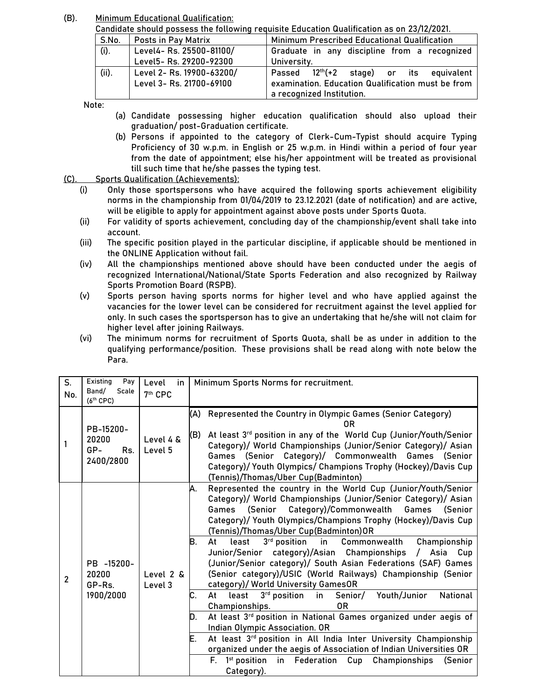(B). **Minimum Educational Qualification:**

Candidate should possess the following requisite Education Qualification as on 23/12/2021.

| S.No. | Posts in Pay Matrix       | Minimum Prescribed Educational Qualification      |  |  |
|-------|---------------------------|---------------------------------------------------|--|--|
| (i).  | Level4- Rs. 25500-81100/  | Graduate in any discipline from a recognized      |  |  |
|       | Level5- Rs. 29200-92300   | University.                                       |  |  |
| (ii). | Level 2- Rs. 19900-63200/ | $12th(+2)$ stage) or its equivalent<br>Passed     |  |  |
|       | Level 3- Rs. 21700-69100  | examination. Education Qualification must be from |  |  |
|       |                           | a recognized Institution.                         |  |  |

Note:

- (a) Candidate possessing higher education qualification should also upload their graduation/ post-Graduation certificate.
- (b) Persons if appointed to the category of Clerk-Cum-Typist should acquire Typing Proficiency of 30 w.p.m. in English or 25 w.p.m. in Hindi within a period of four year from the date of appointment; else his/her appointment will be treated as provisional till such time that he/she passes the typing test.
- **(C). Sports Qualification (Achievements):**
	- (i) Only those sportspersons who have acquired the following sports achievement eligibility norms in the championship from 01/04/2019 to 23.12.2021 (date of notification) and are active, will be eligible to apply for appointment against above posts under Sports Quota.
	- (ii) For validity of sports achievement, concluding day of the championship/event shall take into account.
	- (iii) The specific position played in the particular discipline, if applicable should be mentioned in the ONLINE Application without fail.
	- (iv) All the championships mentioned above should have been conducted under the aegis of recognized International/National/State Sports Federation and also recognized by Railway Sports Promotion Board (RSPB).
	- (v) Sports person having sports norms for higher level and who have applied against the vacancies for the lower level can be considered for recruitment against the level applied for only. In such cases the sportsperson has to give an undertaking that he/she will not claim for higher level after joining Railways.
	- (vi) The minimum norms for recruitment of Sports Quota, shall be as under in addition to the qualifying performance/position. These provisions shall be read along with note below the Para.

| S.<br>No.      | Existing<br>Pay<br>Scale<br>Band/<br>$(6th$ CPC) | Level<br>in<br>7 <sup>th</sup> CPC | Minimum Sports Norms for recruitment.                                                                                                                                                                                                                                                                                                                                                                                                                                                                                                                                                                                                                                                                                                                                                                                                                                                                                                                                                                                                                                                                              |
|----------------|--------------------------------------------------|------------------------------------|--------------------------------------------------------------------------------------------------------------------------------------------------------------------------------------------------------------------------------------------------------------------------------------------------------------------------------------------------------------------------------------------------------------------------------------------------------------------------------------------------------------------------------------------------------------------------------------------------------------------------------------------------------------------------------------------------------------------------------------------------------------------------------------------------------------------------------------------------------------------------------------------------------------------------------------------------------------------------------------------------------------------------------------------------------------------------------------------------------------------|
|                | PB-15200-<br>20200<br>GP-<br>Rs.<br>2400/2800    | Level 4 &<br>Level 5               | Represented the Country in Olympic Games (Senior Category)<br>(A)<br>0R<br>At least 3rd position in any of the World Cup (Junior/Youth/Senior<br>(B)<br>Category)/ World Championships (Junior/Senior Category)/ Asian<br>Games (Senior Category)/ Commonwealth Games (Senior<br>Category)/ Youth Olympics/ Champions Trophy (Hockey)/Davis Cup<br>(Tennis)/Thomas/Uber Cup(Badminton)                                                                                                                                                                                                                                                                                                                                                                                                                                                                                                                                                                                                                                                                                                                             |
| $\overline{2}$ | PB -15200-<br>20200<br>GP-Rs.<br>1900/2000       | Level 2 &<br>Level 3               | Represented the country in the World Cup (Junior/Youth/Senior<br>Α.<br>Category)/ World Championships (Junior/Senior Category)/ Asian<br>Games (Senior<br>Category)/Commonwealth<br>Games (Senior<br>Category)/ Youth Olympics/Champions Trophy (Hockey)/Davis Cup<br>(Tennis)/Thomas/Uber Cup(Badminton)OR<br>3rd position<br>in Commonwealth<br>Championship<br>В.<br>least<br>At<br>Junior/Senior category)/Asian Championships<br>Asia<br>$\prime$<br>Cup<br>(Junior/Senior category)/ South Asian Federations (SAF) Games<br>(Senior category)/USIC (World Railways) Championship (Senior<br>category)/ World University GamesOR<br>C.<br>3 <sup>rd</sup> position in<br>Senior/ Youth/Junior<br>At least<br>National<br>Championships.<br>0R<br>At least 3rd position in National Games organized under aegis of<br>D.<br>Indian Olympic Association. OR<br>At least 3rd position in All India Inter University Championship<br>Е.<br>organized under the aegis of Association of Indian Universities OR<br>1 <sup>st</sup> position<br>in Federation<br>F.<br>Cup<br>Championships<br>(Senior<br>Category). |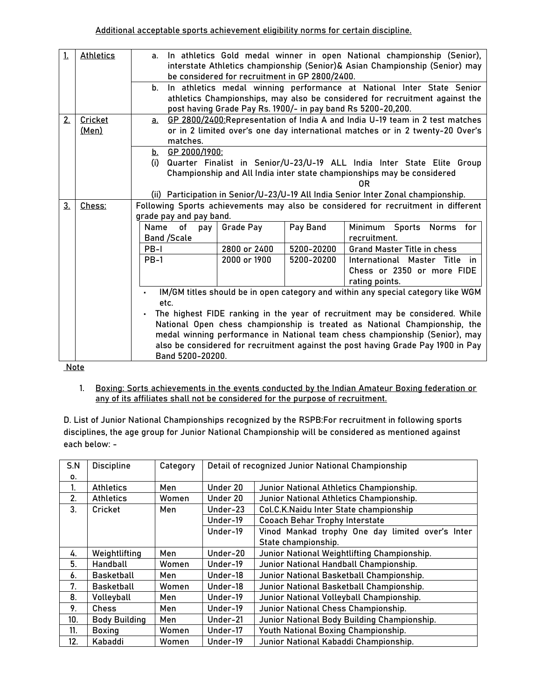| 1.             | <b>Athletics</b>        |                                                                                                                                                                                                                                                       | a. In athletics Gold medal winner in open National championship (Senior),<br>interstate Athletics championship (Senior)& Asian Championship (Senior) may<br>be considered for recruitment in GP 2800/2400. |                                                                                                                                                                 |  |  |  |  |
|----------------|-------------------------|-------------------------------------------------------------------------------------------------------------------------------------------------------------------------------------------------------------------------------------------------------|------------------------------------------------------------------------------------------------------------------------------------------------------------------------------------------------------------|-----------------------------------------------------------------------------------------------------------------------------------------------------------------|--|--|--|--|
|                |                         | b.                                                                                                                                                                                                                                                    | post having Grade Pay Rs. 1900/- in pay band Rs 5200-20,200.                                                                                                                                               | In athletics medal winning performance at National Inter State Senior<br>athletics Championships, may also be considered for recruitment against the            |  |  |  |  |
| 2.             | Cricket<br><u>(Men)</u> | а.<br>matches.                                                                                                                                                                                                                                        | GP 2800/2400: Representation of India A and India U-19 team in 2 test matches<br>or in 2 limited over's one day international matches or in 2 twenty-20 Over's                                             |                                                                                                                                                                 |  |  |  |  |
|                |                         | b. GP 2000/1900:<br>Quarter Finalist in Senior/U-23/U-19 ALL India Inter State Elite Group<br>(i)<br>Championship and All India inter state championships may be considered<br>0R                                                                     |                                                                                                                                                                                                            |                                                                                                                                                                 |  |  |  |  |
| 3 <sub>1</sub> | Chess:                  |                                                                                                                                                                                                                                                       | (ii) Participation in Senior/U-23/U-19 All India Senior Inter Zonal championship.<br>Following Sports achievements may also be considered for recruitment in different                                     |                                                                                                                                                                 |  |  |  |  |
|                |                         | grade pay and pay band.                                                                                                                                                                                                                               |                                                                                                                                                                                                            |                                                                                                                                                                 |  |  |  |  |
|                |                         | Name<br>оf<br>pay<br><b>Band /Scale</b>                                                                                                                                                                                                               | Pay Band<br><b>Grade Pay</b>                                                                                                                                                                               | Minimum Sports<br><b>Norms</b><br>for<br>recruitment.                                                                                                           |  |  |  |  |
|                |                         | PB-I                                                                                                                                                                                                                                                  | 2800 or 2400<br>5200-20200                                                                                                                                                                                 | <b>Grand Master Title in chess</b>                                                                                                                              |  |  |  |  |
|                |                         | $PB-1$<br>2000 or 1900<br>International Master Title in<br>5200-20200<br>Chess or 2350 or more FIDE<br>rating points.                                                                                                                                 |                                                                                                                                                                                                            |                                                                                                                                                                 |  |  |  |  |
|                |                         | IM/GM titles should be in open category and within any special category like WGM<br>etc.<br>The highest FIDE ranking in the year of recruitment may be considered. While<br>National Open chess championship is treated as National Championship, the |                                                                                                                                                                                                            |                                                                                                                                                                 |  |  |  |  |
|                | <b>Noto</b>             | Band 5200-20200.                                                                                                                                                                                                                                      |                                                                                                                                                                                                            | medal winning performance in National team chess championship (Senior), may<br>also be considered for recruitment against the post having Grade Pay 1900 in Pay |  |  |  |  |

Note

1. Boxing: Sorts achievements in the events conducted by the Indian Amateur Boxing federation or any of its affiliates shall not be considered for the purpose of recruitment.

**D. List of Junior National Championships recognized by the RSPB:**For recruitment in following sports disciplines, the age group for Junior National Championship will be considered as mentioned against each below: -

| S.N | <b>Discipline</b>    | Category | Detail of recognized Junior National Championship       |                                                  |  |
|-----|----------------------|----------|---------------------------------------------------------|--------------------------------------------------|--|
| 0.  |                      |          |                                                         |                                                  |  |
| 1.  | <b>Athletics</b>     | Men      | Under 20                                                | Junior National Athletics Championship.          |  |
| 2.  | <b>Athletics</b>     | Women    | Under 20                                                | Junior National Athletics Championship.          |  |
| 3.  | Cricket              | Men      | Under-23                                                | Col.C.K.Naidu Inter State championship           |  |
|     |                      |          | Under-19                                                | <b>Cooach Behar Trophy Interstate</b>            |  |
|     |                      |          | Under-19                                                | Vinod Mankad trophy One day limited over's Inter |  |
|     |                      |          | State championship.                                     |                                                  |  |
| 4.  | Weightlifting        | Men      | Under-20                                                | Junior National Weightlifting Championship.      |  |
| 5.  | Handball             | Women    | Under-19                                                | Junior National Handball Championship.           |  |
| 6.  | Basketball           | Men      | Under-18<br>Junior National Basketball Championship.    |                                                  |  |
| 7.  | <b>Basketball</b>    | Women    | Under-18                                                | Junior National Basketball Championship.         |  |
| 8.  | Volleyball           | Men      | Under-19                                                | Junior National Volleyball Championship.         |  |
| 9.  | <b>Chess</b>         | Men      | Under-19                                                | Junior National Chess Championship.              |  |
| 10. | <b>Body Building</b> | Men      | Junior National Body Building Championship.<br>Under-21 |                                                  |  |
| 11. | <b>Boxing</b>        | Women    | Youth National Boxing Championship.<br>Under-17         |                                                  |  |
| 12. | Kabaddi              | Women    | Under-19<br>Junior National Kabaddi Championship.       |                                                  |  |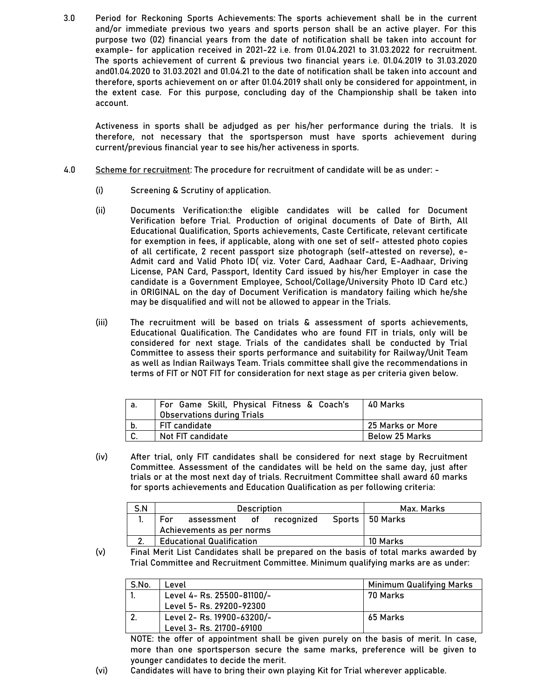**3.0 Period for Reckoning Sports Achievements:** The sports achievement shall be in the current and/or immediate previous two years and sports person shall be an active player. For this purpose two (02) financial years from the date of notification shall be taken into account for example- for application received in 2021-22 i.e. from 01.04.2021 to 31.03.2022 for recruitment. The sports achievement of current & previous two financial years i.e. 01.04.2019 to 31.03.2020 and01.04.2020 to 31.03.2021 and 01.04.21 to the date of notification shall be taken into account and therefore, sports achievement on or after 01.04.2019 shall only be considered for appointment, in the extent case. For this purpose, concluding day of the Championship shall be taken into account.

Activeness in sports shall be adjudged as per his/her performance during the trials. It is therefore, not necessary that the sportsperson must have sports achievement during current/previous financial year to see his/her activeness in sports.

- **4.0 Scheme for recruitment:** The procedure for recruitment of candidate will be as under:
	- (i) Screening & Scrutiny of application.
	- (ii) Documents Verification:the eligible candidates will be called for Document Verification before Trial. Production of original documents of Date of Birth, All Educational Qualification, Sports achievements, Caste Certificate, relevant certificate for exemption in fees, if applicable, along with one set of self- attested photo copies of all certificate, 2 recent passport size photograph (self-attested on reverse), e-Admit card and Valid Photo ID( viz. Voter Card, Aadhaar Card, E-Aadhaar, Driving License, PAN Card, Passport, Identity Card issued by his/her Employer in case the candidate is a Government Employee, School/Collage/University Photo ID Card etc.) in ORIGINAL on the day of Document Verification is mandatory failing which he/she may be disqualified and will not be allowed to appear in the Trials.
	- (iii) The recruitment will be based on trials & assessment of sports achievements, Educational Qualification. The Candidates who are found FIT in trials, only will be considered for next stage. Trials of the candidates shall be conducted by Trial Committee to assess their sports performance and suitability for Railway/Unit Team as well as Indian Railways Team. Trials committee shall give the recommendations in terms of FIT or NOT FIT for consideration for next stage as per criteria given below.

| а. | For Game Skill, Physical Fitness & Coach's<br><b>Observations during Trials</b> | 40 Marks         |
|----|---------------------------------------------------------------------------------|------------------|
| b. | <b>FIT candidate</b>                                                            | 25 Marks or More |
| C. | Not FIT candidate                                                               | Below 25 Marks   |

(iv) After trial, only FIT candidates shall be considered for next stage by Recruitment Committee. Assessment of the candidates will be held on the same day, just after trials or at the most next day of trials. Recruitment Committee shall award 60 marks for sports achievements and Education Qualification as per following criteria:

| S.N |     | <b>Description</b>               | Max. Marks |  |  |                   |
|-----|-----|----------------------------------|------------|--|--|-------------------|
|     | For | assessment of recognized         |            |  |  | Sports   50 Marks |
|     |     | Achievements as per norms        |            |  |  |                   |
|     |     | <b>Educational Qualification</b> | 10 Marks   |  |  |                   |

(v) Final Merit List Candidates shall be prepared on the basis of total marks awarded by Trial Committee and Recruitment Committee. Minimum qualifying marks are as under:

| S.No. | _evel                      | Minimum Qualifying Marks |
|-------|----------------------------|--------------------------|
|       | Level 4- Rs. 25500-81100/- | 70 Marks                 |
|       | Level 5- Rs. 29200-92300   |                          |
|       | Level 2- Rs. 19900-63200/- | 65 Marks                 |
|       | Level 3- Rs. 21700-69100   |                          |

NOTE: the offer of appointment shall be given purely on the basis of merit. In case, more than one sportsperson secure the same marks, preference will be given to younger candidates to decide the merit.

(vi) Candidates will have to bring their own playing Kit for Trial wherever applicable.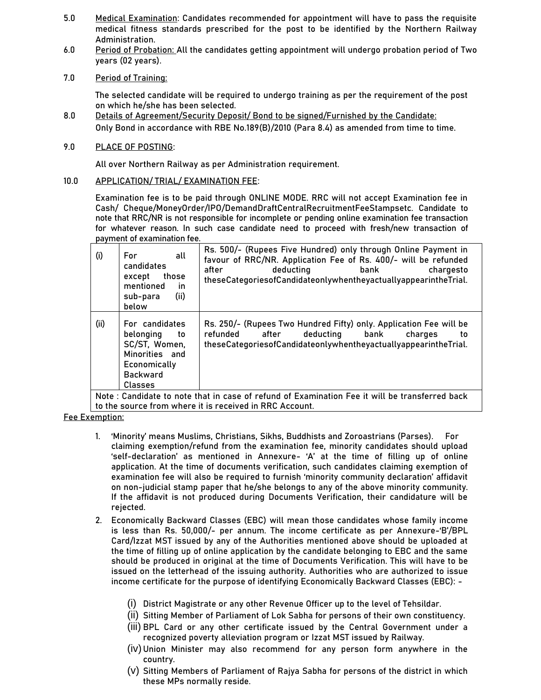- **5.0 Medical Examination:** Candidates recommended for appointment will have to pass the requisite medical fitness standards prescribed for the post to be identified by the Northern Railway Administration.
- **6.0 Period of Probation:** All the candidates getting appointment will undergo probation period of Two years (02 years).
- **7.0 Period of Training:**

The selected candidate will be required to undergo training as per the requirement of the post on which he/she has been selected.

- **8.0 Details of Agreement/Security Deposit/ Bond to be signed/Furnished by the Candidate:** Only Bond in accordance with RBE No.189(B)/2010 (Para 8.4) as amended from time to time.
- **9.0 PLACE OF POSTING:**

All over Northern Railway as per Administration requirement.

**10.0 APPLICATION/ TRIAL/ EXAMINATION FEE:** 

Examination fee is to be paid through ONLINE MODE. RRC will not accept Examination fee in Cash/ Cheque/MoneyOrder/IPO/DemandDraftCentralRecruitmentFeeStampsetc. Candidate to note that RRC/NR is not responsible for incomplete or pending online examination fee transaction for whatever reason. In such case candidate need to proceed with fresh/new transaction of payment of examination fee.

|      | mentioned<br>in.<br>(ii)<br>sub-para<br>below                                                                      | theseCategoriesofCandidateonlywhentheyactuallyappearintheTrial.                                                                                                                                  |
|------|--------------------------------------------------------------------------------------------------------------------|--------------------------------------------------------------------------------------------------------------------------------------------------------------------------------------------------|
| (ii) | For candidates<br>belonging<br>to<br>SC/ST, Women,<br>Minorities and<br>Economically<br><b>Backward</b><br>Classes | Rs. 250/- (Rupees Two Hundred Fifty) only. Application Fee will be<br>deductina<br>refunded<br>after<br>bank<br>charges<br>to<br>theseCategoriesofCandidateonlywhentheyactuallyappearintheTrial. |

Note : Candidate to note that in case of refund of Examination Fee it will be transferred back to the source from where it is received in RRC Account.

# **Fee Exemption:**

- **1.** 'Minority' means Muslims, Christians, Sikhs, Buddhists and Zoroastrians (Parses). **For claiming exemption/refund from the examination fee, minority candidates should upload 'self**-declaration' as mentioned in Annexure- 'A' at the time of filling up of online application. At the time of documents verification, such candidates claiming exemption of examination fee will also be required to furnish 'minority community declaration' affidavit on non-judicial stamp paper that he/she belongs to any of the above minority community. If the affidavit is not produced during Documents Verification, their candidature will be rejected.
- **2.** Economically Backward Classes (EBC) will mean those candidates whose family income is less than Rs. 50,000/- per annum. The income certificate as per Annexure-'B'/BPL Card/Izzat MST issued by any of the Authorities mentioned above should be uploaded at the time of filling up of online application by the candidate belonging to EBC and the same should be produced in original at the time of Documents Verification. This will have to be issued on the letterhead of the issuing authority. Authorities who are authorized to issue income certificate for the purpose of identifying Economically Backward Classes (EBC): -
	- (i) **District Magistrate or any other Revenue Officer up to the level of Tehsildar.**
	- (ii) **Sitting Member of Parliament of Lok Sabha for persons of their own constituency.**
	- (iii) **BPL Card or any other certificate issued by the Central Government under a recognized poverty alleviation program or Izzat MST issued by Railway.**
	- (iv) **Union Minister may also recommend for any person form anywhere in the country.**
	- (v) **Sitting Members of Parliament of Rajya Sabha for persons of the district in which these MPs normally reside.**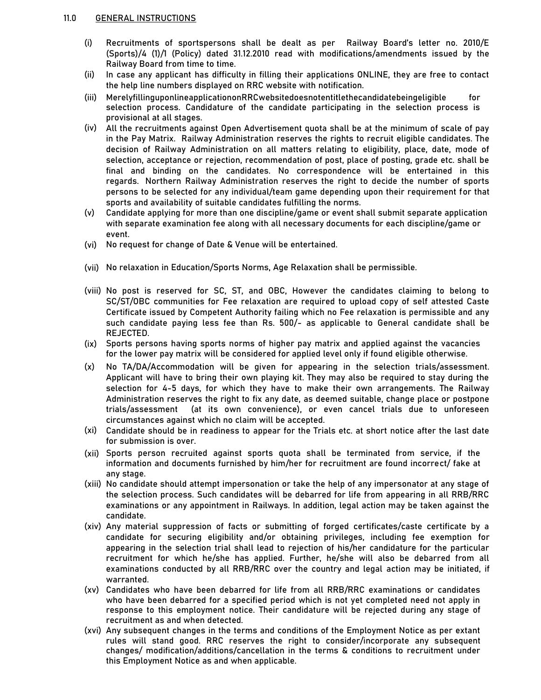- **(i)** Recruitments of sportspersons shall be dealt as per Railway Board's letter no. 2010/E (Sports)/4 (1)/1 (Policy) dated 31.12.2010 read with modifications/amendments issued by the Railway Board from time to time.
- **(ii)** In case any applicant has difficulty in filling their applications ONLINE, they are free to contact the help line numbers displayed on RRC website with notification.
- **(iii)** MerelyfillinguponlineapplicationonRRCwebsitedoesnotentitlethecandidatebeingeligible for selection process. Candidature of the candidate participating in the selection process is provisional at all stages.
- **(iv)** All the recruitments against Open Advertisement quota shall be at the minimum of scale of pay in the Pay Matrix. Railway Administration reserves the rights to recruit eligible candidates. The decision of Railway Administration on all matters relating to eligibility, place, date, mode of selection, acceptance or rejection, recommendation of post, place of posting, grade etc. shall be final and binding on the candidates. No correspondence will be entertained in this regards. Northern Railway Administration reserves the right to decide the number of sports persons to be selected for any individual/team game depending upon their requirement for that sports and availability of suitable candidates fulfilling the norms.
- **(v)** Candidate applying for more than one discipline/game or event shall submit separate application with separate examination fee along with all necessary documents for each discipline/game or event.
- **(vi)** No request for change of Date & Venue will be entertained.
- **(vii) No relaxation in Education/Sports Norms, Age Relaxation shall be permissible.**
- **(viii)** No post is reserved for SC, ST, and OBC, However the candidates claiming to belong to SC/ST/OBC communities for Fee relaxation are required to upload copy of self attested Caste Certificate issued by Competent Authority failing which no Fee relaxation is permissible and any such candidate paying less fee than Rs. 500/- as applicable to General candidate shall be REJECTED.
- **(ix)** Sports persons having sports norms of higher pay matrix and applied against the vacancies for the lower pay matrix will be considered for applied level only if found eligible otherwise.
- **(x)** No TA/DA/Accommodation will be given for appearing in the selection trials/assessment. Applicant will have to bring their own playing kit. They may also be required to stay during the selection for 4-5 days, for which they have to make their own arrangements. The Railway Administration reserves the right to fix any date, as deemed suitable, change place or postpone trials/assessment (at its own convenience), or even cancel trials due to unforeseen circumstances against which no claim will be accepted.
- **(xi)** Candidate should be in readiness to appear for the Trials etc. at short notice after the last date for submission is over.
- **(xii)** Sports person recruited against sports quota shall be terminated from service, if the information and documents furnished by him/her for recruitment are found incorrect/ fake at any stage.
- **(xiii)** No candidate should attempt impersonation or take the help of any impersonator at any stage of the selection process. Such candidates will be debarred for life from appearing in all RRB/RRC examinations or any appointment in Railways. In addition, legal action may be taken against the candidate.
- **(xiv)** Any material suppression of facts or submitting of forged certificates/caste certificate by a candidate for securing eligibility and/or obtaining privileges, including fee exemption for appearing in the selection trial shall lead to rejection of his/her candidature for the particular recruitment for which he/she has applied. Further, he/she will also be debarred from all examinations conducted by all RRB/RRC over the country and legal action may be initiated, if warranted.
- **(xv)** Candidates who have been debarred for life from all RRB/RRC examinations or candidates who have been debarred for a specified period which is not yet completed need not apply in response to this employment notice. Their candidature will be rejected during any stage of recruitment as and when detected.
- **(xvi)** Any subsequent changes in the terms and conditions of the Employment Notice as per extant rules will stand good. RRC reserves the right to consider/incorporate any subsequent changes/ modification/additions/cancellation in the terms & conditions to recruitment under this Employment Notice as and when applicable.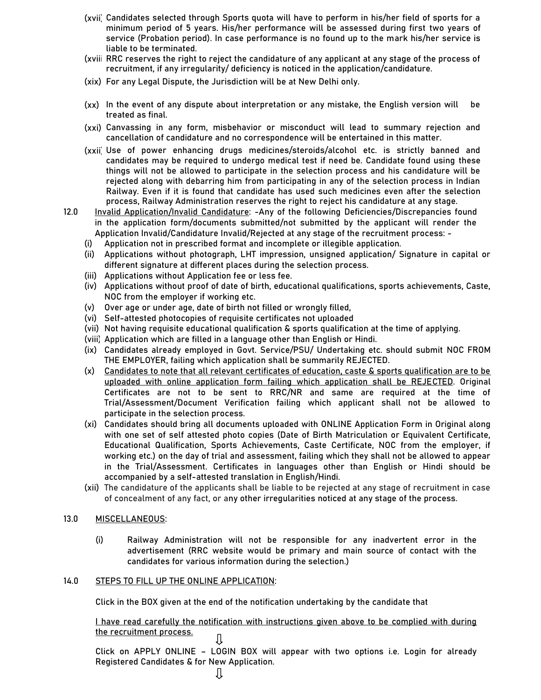- **(xvii)** Candidates selected through Sports quota will have to perform in his/her field of sports for a minimum period of 5 years. His/her performance will be assessed during first two years of service (Probation period). In case performance is no found up to the mark his/her service is liable to be terminated.
- **(xviii)**RRC reserves the right to reject the candidature of any applicant at any stage of the process of recruitment, if any irregularity/ deficiency is noticed in the application/candidature.
- **(xix)** For any Legal Dispute, the Jurisdiction will be at New Delhi only.
- **(xx)** In the event of any dispute about interpretation or any mistake, the English version will be treated as final.
- **(xxi)** Canvassing in any form, misbehavior or misconduct will lead to summary rejection and cancellation of candidature and no correspondence will be entertained in this matter.
- **(xxii)** Use of power enhancing drugs medicines/steroids/alcohol etc. is strictly banned and candidates may be required to undergo medical test if need be. Candidate found using these things will not be allowed to participate in the selection process and his candidature will be rejected along with debarring him from participating in any of the selection process in Indian Railway. Even if it is found that candidate has used such medicines even after the selection process, Railway Administration reserves the right to reject his candidature at any stage.
- **12.0 Invalid Application/Invalid Candidature: -Any of the following Deficiencies/Discrepancies found in the application form/documents submitted/not submitted by the applicant will render the Application Invalid/Candidature Invalid/Rejected at any stage of the recruitment process: -**
	- **(i)** Application not in prescribed format and incomplete or illegible application.
	- **(ii)** Applications without photograph, LHT impression, unsigned application/ Signature in capital or different signature at different places during the selection process.
	- **(iii)** Applications without Application fee or less fee.
	- **(iv)** Applications without proof of date of birth, educational qualifications, sports achievements, Caste, NOC from the employer if working etc.
	- **(v)** Over age or under age, date of birth not filled or wrongly filled,
	- **(vi)** Self-attested photocopies of requisite certificates not uploaded
	- **(vii)** Not having requisite educational qualification & sports qualification at the time of applying.
	- **(viii)** Application which are filled in a language other than English or Hindi.
	- **(ix)** Candidates already employed in Govt. Service/PSU/ Undertaking etc. should submit **NOC FROM THE EMPLOYER**, failing which application shall be summarily REJECTED.
	- **(x) Candidates to note that all relevant certificates of education, caste & sports qualification are to be uploaded with online application form failing which application shall be REJECTED**. Original Certificates are not to be sent to RRC/NR and same are required at the time of Trial/Assessment/Document Verification failing which applicant shall not be allowed to participate in the selection process.
	- **(xi) Candidates should bring all documents uploaded with ONLINE Application Form in Original along with one set of self attested photo copies (Date of Birth Matriculation or Equivalent Certificate, Educational Qualification, Sports Achievements, Caste Certificate, NOC from the employer, if working etc.) on the day of trial and assessment, failing which they shall not be allowed to appear in the Trial/Assessment. Certificates in languages other than English or Hindi should be accompanied by a self-attested translation in English/Hindi.**
	- **(xii)** The candidature of the applicants shall be liable to be rejected at any stage of recruitment in case of concealment of any fact, or any other irregularities noticed at any stage of the process.

## **13.0 MISCELLANEOUS**:

(i) Railway Administration will not be responsible for any inadvertent error in the advertisement (RRC website would be primary and main source of contact with the candidates for various information during the selection.)

## **14.0 STEPS TO FILL UP THE ONLINE APPLICATION:**

Click in the BOX given at the end of the notification undertaking by the candidate that

**I have read carefully the notification with instructions given above to be complied with during the recruitment process.**  Л

Click on APPLY ONLINE – LOGIN BOX will appear with two options i.e. Login for already Registered Candidates & for New Application.